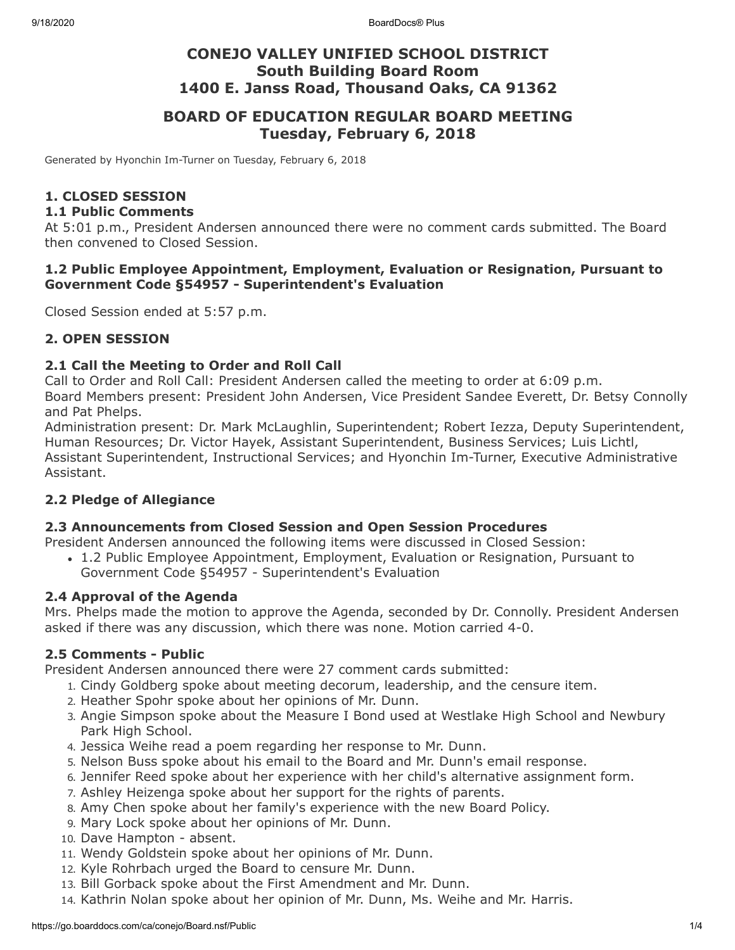# **CONEJO VALLEY UNIFIED SCHOOL DISTRICT South Building Board Room 1400 E. Janss Road, Thousand Oaks, CA 91362**

# **BOARD OF EDUCATION REGULAR BOARD MEETING Tuesday, February 6, 2018**

Generated by Hyonchin Im-Turner on Tuesday, February 6, 2018

### **1. CLOSED SESSION**

#### **1.1 Public Comments**

At 5:01 p.m., President Andersen announced there were no comment cards submitted. The Board then convened to Closed Session.

#### **1.2 Public Employee Appointment, Employment, Evaluation or Resignation, Pursuant to Government Code §54957 - Superintendent's Evaluation**

Closed Session ended at 5:57 p.m.

### **2. OPEN SESSION**

#### **2.1 Call the Meeting to Order and Roll Call**

Call to Order and Roll Call: President Andersen called the meeting to order at 6:09 p.m. Board Members present: President John Andersen, Vice President Sandee Everett, Dr. Betsy Connolly and Pat Phelps.

Administration present: Dr. Mark McLaughlin, Superintendent; Robert Iezza, Deputy Superintendent, Human Resources; Dr. Victor Hayek, Assistant Superintendent, Business Services; Luis Lichtl, Assistant Superintendent, Instructional Services; and Hyonchin Im-Turner, Executive Administrative Assistant.

### **2.2 Pledge of Allegiance**

#### **2.3 Announcements from Closed Session and Open Session Procedures**

President Andersen announced the following items were discussed in Closed Session:

1.2 Public Employee Appointment, Employment, Evaluation or Resignation, Pursuant to Government Code §54957 - Superintendent's Evaluation

#### **2.4 Approval of the Agenda**

Mrs. Phelps made the motion to approve the Agenda, seconded by Dr. Connolly. President Andersen asked if there was any discussion, which there was none. Motion carried 4-0.

#### **2.5 Comments - Public**

President Andersen announced there were 27 comment cards submitted:

- 1. Cindy Goldberg spoke about meeting decorum, leadership, and the censure item.
- 2. Heather Spohr spoke about her opinions of Mr. Dunn.
- 3. Angie Simpson spoke about the Measure I Bond used at Westlake High School and Newbury Park High School.
- 4. Jessica Weihe read a poem regarding her response to Mr. Dunn.
- 5. Nelson Buss spoke about his email to the Board and Mr. Dunn's email response.
- 6. Jennifer Reed spoke about her experience with her child's alternative assignment form.
- 7. Ashley Heizenga spoke about her support for the rights of parents.
- 8. Amy Chen spoke about her family's experience with the new Board Policy.
- 9. Mary Lock spoke about her opinions of Mr. Dunn.
- 10. Dave Hampton absent.
- 11. Wendy Goldstein spoke about her opinions of Mr. Dunn.
- 12. Kyle Rohrbach urged the Board to censure Mr. Dunn.
- 13. Bill Gorback spoke about the First Amendment and Mr. Dunn.
- 14. Kathrin Nolan spoke about her opinion of Mr. Dunn, Ms. Weihe and Mr. Harris.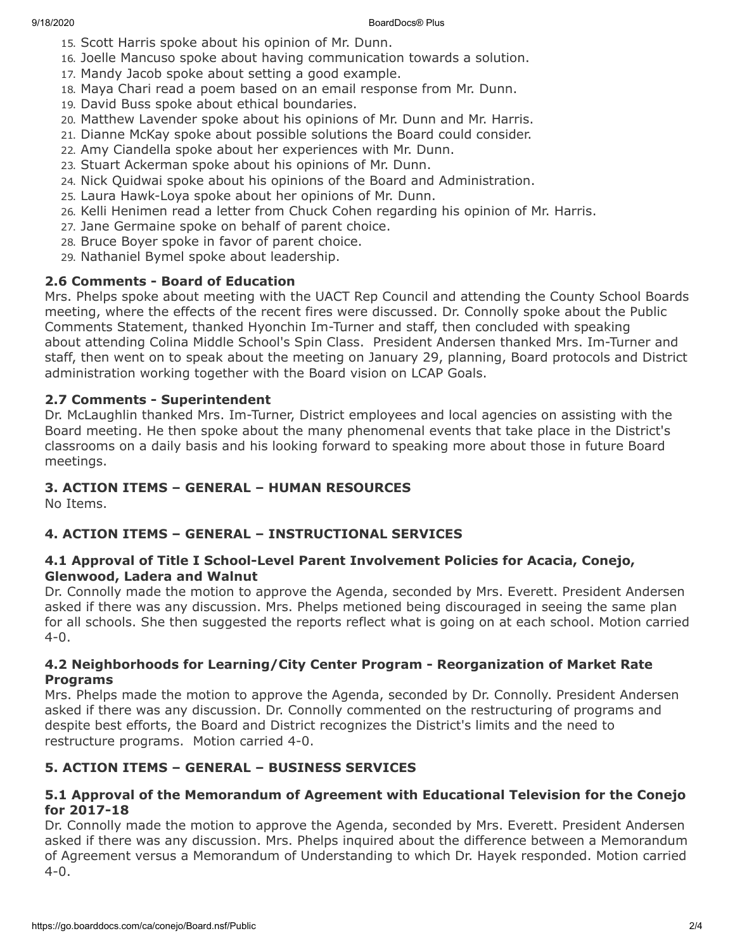- 15. Scott Harris spoke about his opinion of Mr. Dunn.
- 16. Joelle Mancuso spoke about having communication towards a solution.
- 17. Mandy Jacob spoke about setting a good example.
- 18. Maya Chari read a poem based on an email response from Mr. Dunn.
- 19. David Buss spoke about ethical boundaries.
- 20. Matthew Lavender spoke about his opinions of Mr. Dunn and Mr. Harris.
- 21. Dianne McKay spoke about possible solutions the Board could consider.
- 22. Amy Ciandella spoke about her experiences with Mr. Dunn.
- 23. Stuart Ackerman spoke about his opinions of Mr. Dunn.
- 24. Nick Quidwai spoke about his opinions of the Board and Administration.
- 25. Laura Hawk-Loya spoke about her opinions of Mr. Dunn.
- 26. Kelli Henimen read a letter from Chuck Cohen regarding his opinion of Mr. Harris.
- 27. Jane Germaine spoke on behalf of parent choice.
- 28. Bruce Boyer spoke in favor of parent choice.
- 29. Nathaniel Bymel spoke about leadership.

## **2.6 Comments - Board of Education**

Mrs. Phelps spoke about meeting with the UACT Rep Council and attending the County School Boards meeting, where the effects of the recent fires were discussed. Dr. Connolly spoke about the Public Comments Statement, thanked Hyonchin Im-Turner and staff, then concluded with speaking about attending Colina Middle School's Spin Class. President Andersen thanked Mrs. Im-Turner and staff, then went on to speak about the meeting on January 29, planning, Board protocols and District administration working together with the Board vision on LCAP Goals.

### **2.7 Comments - Superintendent**

Dr. McLaughlin thanked Mrs. Im-Turner, District employees and local agencies on assisting with the Board meeting. He then spoke about the many phenomenal events that take place in the District's classrooms on a daily basis and his looking forward to speaking more about those in future Board meetings.

## **3. ACTION ITEMS – GENERAL – HUMAN RESOURCES**

No Items.

### **4. ACTION ITEMS – GENERAL – INSTRUCTIONAL SERVICES**

### **4.1 Approval of Title I School-Level Parent Involvement Policies for Acacia, Conejo, Glenwood, Ladera and Walnut**

Dr. Connolly made the motion to approve the Agenda, seconded by Mrs. Everett. President Andersen asked if there was any discussion. Mrs. Phelps metioned being discouraged in seeing the same plan for all schools. She then suggested the reports reflect what is going on at each school. Motion carried 4-0.

### **4.2 Neighborhoods for Learning/City Center Program - Reorganization of Market Rate Programs**

Mrs. Phelps made the motion to approve the Agenda, seconded by Dr. Connolly. President Andersen asked if there was any discussion. Dr. Connolly commented on the restructuring of programs and despite best efforts, the Board and District recognizes the District's limits and the need to restructure programs. Motion carried 4-0.

# **5. ACTION ITEMS – GENERAL – BUSINESS SERVICES**

### **5.1 Approval of the Memorandum of Agreement with Educational Television for the Conejo for 2017-18**

Dr. Connolly made the motion to approve the Agenda, seconded by Mrs. Everett. President Andersen asked if there was any discussion. Mrs. Phelps inquired about the difference between a Memorandum of Agreement versus a Memorandum of Understanding to which Dr. Hayek responded. Motion carried 4-0.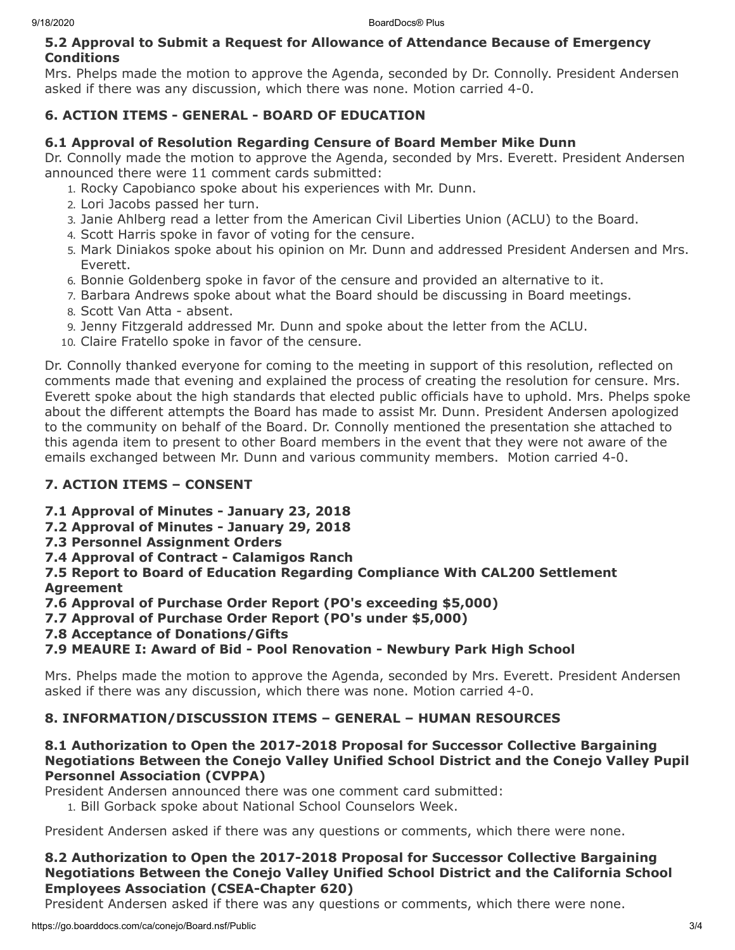### **5.2 Approval to Submit a Request for Allowance of Attendance Because of Emergency Conditions**

Mrs. Phelps made the motion to approve the Agenda, seconded by Dr. Connolly. President Andersen asked if there was any discussion, which there was none. Motion carried 4-0.

# **6. ACTION ITEMS - GENERAL - BOARD OF EDUCATION**

## **6.1 Approval of Resolution Regarding Censure of Board Member Mike Dunn**

Dr. Connolly made the motion to approve the Agenda, seconded by Mrs. Everett. President Andersen announced there were 11 comment cards submitted:

- 1. Rocky Capobianco spoke about his experiences with Mr. Dunn.
- 2. Lori Jacobs passed her turn.
- 3. Janie Ahlberg read a letter from the American Civil Liberties Union (ACLU) to the Board.
- 4. Scott Harris spoke in favor of voting for the censure.
- 5. Mark Diniakos spoke about his opinion on Mr. Dunn and addressed President Andersen and Mrs. Everett.
- 6. Bonnie Goldenberg spoke in favor of the censure and provided an alternative to it.
- 7. Barbara Andrews spoke about what the Board should be discussing in Board meetings.
- 8. Scott Van Atta absent.
- 9. Jenny Fitzgerald addressed Mr. Dunn and spoke about the letter from the ACLU.
- 10. Claire Fratello spoke in favor of the censure.

Dr. Connolly thanked everyone for coming to the meeting in support of this resolution, reflected on comments made that evening and explained the process of creating the resolution for censure. Mrs. Everett spoke about the high standards that elected public officials have to uphold. Mrs. Phelps spoke about the different attempts the Board has made to assist Mr. Dunn. President Andersen apologized to the community on behalf of the Board. Dr. Connolly mentioned the presentation she attached to this agenda item to present to other Board members in the event that they were not aware of the emails exchanged between Mr. Dunn and various community members. Motion carried 4-0.

# **7. ACTION ITEMS – CONSENT**

# **7.1 Approval of Minutes - January 23, 2018**

- **7.2 Approval of Minutes January 29, 2018**
- **7.3 Personnel Assignment Orders**
- **7.4 Approval of Contract Calamigos Ranch**

**7.5 Report to Board of Education Regarding Compliance With CAL200 Settlement Agreement**

**7.6 Approval of Purchase Order Report (PO's exceeding \$5,000)**

**7.7 Approval of Purchase Order Report (PO's under \$5,000)**

**7.8 Acceptance of Donations/Gifts**

# **7.9 MEAURE I: Award of Bid - Pool Renovation - Newbury Park High School**

Mrs. Phelps made the motion to approve the Agenda, seconded by Mrs. Everett. President Andersen asked if there was any discussion, which there was none. Motion carried 4-0.

# **8. INFORMATION/DISCUSSION ITEMS – GENERAL – HUMAN RESOURCES**

### **8.1 Authorization to Open the 2017-2018 Proposal for Successor Collective Bargaining Negotiations Between the Conejo Valley Unified School District and the Conejo Valley Pupil Personnel Association (CVPPA)**

President Andersen announced there was one comment card submitted:

1. Bill Gorback spoke about National School Counselors Week.

President Andersen asked if there was any questions or comments, which there were none.

## **8.2 Authorization to Open the 2017-2018 Proposal for Successor Collective Bargaining Negotiations Between the Conejo Valley Unified School District and the California School Employees Association (CSEA-Chapter 620)**

President Andersen asked if there was any questions or comments, which there were none.